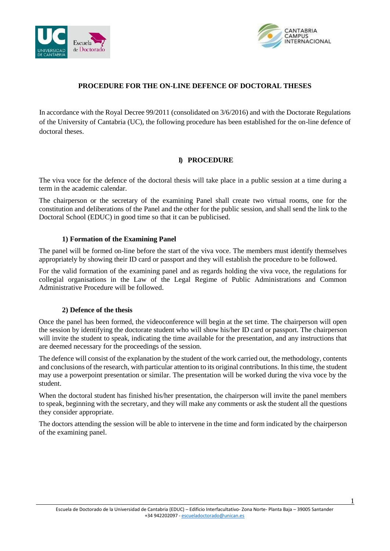



# **PROCEDURE FOR THE ON-LINE DEFENCE OF DOCTORAL THESES**

In accordance with the Royal Decree 99/2011 (consolidated on 3/6/2016) and with the Doctorate Regulations of the University of Cantabria (UC), the following procedure has been established for the on-line defence of doctoral theses.

# **I) PROCEDURE**

The viva voce for the defence of the doctoral thesis will take place in a public session at a time during a term in the academic calendar.

The chairperson or the secretary of the examining Panel shall create two virtual rooms, one for the constitution and deliberations of the Panel and the other for the public session, and shall send the link to the Doctoral School (EDUC) in good time so that it can be publicised.

## **1) Formation of the Examining Panel**

The panel will be formed on-line before the start of the viva voce. The members must identify themselves appropriately by showing their ID card or passport and they will establish the procedure to be followed.

For the valid formation of the examining panel and as regards holding the viva voce, the regulations for collegial organisations in the Law of the Legal Regime of Public Administrations and Common Administrative Procedure will be followed.

## **2) Defence of the thesis**

Once the panel has been formed, the videoconference will begin at the set time. The chairperson will open the session by identifying the doctorate student who will show his/her ID card or passport. The chairperson will invite the student to speak, indicating the time available for the presentation, and any instructions that are deemed necessary for the proceedings of the session.

The defence will consist of the explanation by the student of the work carried out, the methodology, contents and conclusions of the research, with particular attention to its original contributions. In thistime, the student may use a powerpoint presentation or similar. The presentation will be worked during the viva voce by the student.

When the doctoral student has finished his/her presentation, the chairperson will invite the panel members to speak, beginning with the secretary, and they will make any comments or ask the student all the questions they consider appropriate.

The doctors attending the session will be able to intervene in the time and form indicated by the chairperson of the examining panel.

1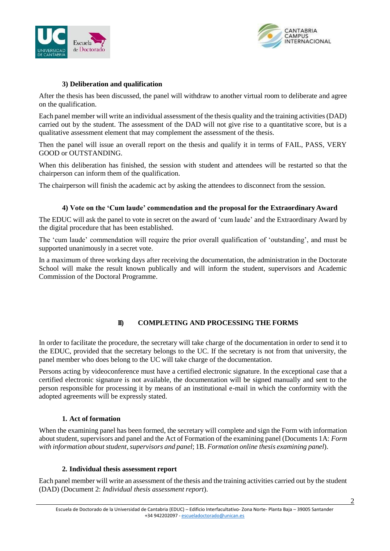



# **3) Deliberation and qualification**

After the thesis has been discussed, the panel will withdraw to another virtual room to deliberate and agree on the qualification.

Each panel member will write an individual assessment of the thesis quality and the training activities (DAD) carried out by the student. The assessment of the DAD will not give rise to a quantitative score, but is a qualitative assessment element that may complement the assessment of the thesis.

Then the panel will issue an overall report on the thesis and qualify it in terms of FAIL, PASS, VERY GOOD or OUTSTANDING.

When this deliberation has finished, the session with student and attendees will be restarted so that the chairperson can inform them of the qualification.

The chairperson will finish the academic act by asking the attendees to disconnect from the session.

# **4) Vote on the 'Cum laude' commendation and the proposal for the Extraordinary Award**

The EDUC will ask the panel to vote in secret on the award of 'cum laude' and the Extraordinary Award by the digital procedure that has been established.

The 'cum laude' commendation will require the prior overall qualification of 'outstanding', and must be supported unanimously in a secret vote.

In a maximum of three working days after receiving the documentation, the administration in the Doctorate School will make the result known publically and will inform the student, supervisors and Academic Commission of the Doctoral Programme.

## **II) COMPLETING AND PROCESSING THE FORMS**

In order to facilitate the procedure, the secretary will take charge of the documentation in order to send it to the EDUC, provided that the secretary belongs to the UC. If the secretary is not from that university, the panel member who does belong to the UC will take charge of the documentation.

Persons acting by videoconference must have a certified electronic signature. In the exceptional case that a certified electronic signature is not available, the documentation will be signed manually and sent to the person responsible for processing it by means of an institutional e-mail in which the conformity with the adopted agreements will be expressly stated.

## **1. Act of formation**

When the examining panel has been formed, the secretary will complete and sign the Form with information about student, supervisors and panel and the Act of Formation of the examining panel (Documents 1A: *Form with information about student, supervisors and panel*; 1B. *Formation online thesis examining panel*).

## **2. Individual thesis assessment report**

Each panel member will write an assessment of the thesis and the training activities carried out by the student (DAD) (Document 2: *Individual thesis assessment report*).